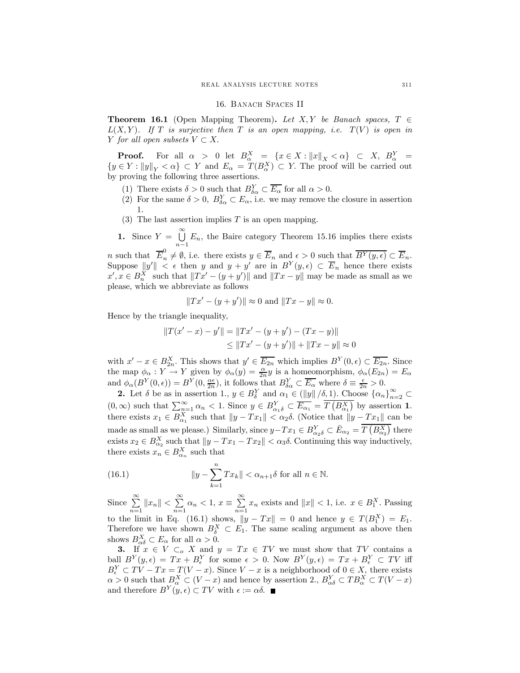#### 16. Banach Spaces II

**Theorem 16.1** (Open Mapping Theorem). Let X, Y be Banach spaces,  $T \in$  $L(X, Y)$ . If T is surjective then T is an open mapping, i.e.  $T(V)$  is open in Y for all open subsets  $V \subset X$ .

**Proof.** For all  $\alpha > 0$  let  $B^X_\alpha = \{x \in X : ||x||_X < \alpha\} \subset X$ ,  $B^Y_\alpha =$  ${y \in Y : ||y||_Y < \alpha} \subset Y$  and  $E_\alpha = T(B_\alpha^X) \subset Y$ . The proof will be carried out by proving the following three assertions.

- (1) There exists  $\delta > 0$  such that  $B_{\delta \alpha}^Y \subset \overline{E_{\alpha}}$  for all  $\alpha > 0$ .
- (2) For the same  $\delta > 0$ ,  $B_{\delta \alpha}^Y \subset E_{\alpha}$ , i.e. we may remove the closure in assertion 1.
- (3) The last assertion implies  $T$  is an open mapping.

1. Since  $Y = \bigcup_{i=1}^{\infty}$  $n-1$  $E_n$ , the Baire category Theorem 15.16 implies there exists

n such that  $\overline{E}_n^0 \neq \emptyset$ , i.e. there exists  $y \in \overline{E}_n$  and  $\epsilon > 0$  such that  $\overline{B^Y(y,\epsilon)} \subset \overline{E}_n$ . Suppose  $||y'|| < \epsilon$  then y and  $y + y'$  are in  $B^{Y}(y, \epsilon) \subset \overline{E}_n$  hence there exists  $x', x \in B_n^X$  such that  $||Tx' - (y + y')||$  and  $||Tx - y||$  may be made as small as we please, which we abbreviate as follows

$$
||Tx' - (y + y')|| \approx 0
$$
 and  $||Tx - y|| \approx 0$ .

Hence by the triangle inequality,

$$
||T(x'-x) - y'|| = ||Tx' - (y + y') - (Tx - y)||
$$
  
\n
$$
\le ||Tx' - (y + y')|| + ||Tx - y|| \approx 0
$$

with  $x'-x \in B_{2n}^X$ . This shows that  $y' \in \overline{E_{2n}}$  which implies  $B^Y(0, \epsilon) \subset \overline{E_{2n}}$ . Since the map  $\phi_{\alpha}: Y \to Y$  given by  $\phi_{\alpha}(y) = \frac{\alpha}{2n}y$  is a homeomorphism,  $\phi_{\alpha}(E_{2n}) = E_{\alpha}$ and  $\phi_{\alpha}(B^Y(0, \epsilon)) = B^Y(0, \frac{\alpha \epsilon}{2n})$ , it follows that  $B_{\delta \alpha}^Y \subset \overline{E_{\alpha}}$  where  $\delta \equiv \frac{\epsilon}{2n} > 0$ .

**2.** Let  $\delta$  be as in assertion 1.,  $y \in B_{\delta}^Y$  and  $\alpha_1 \in (\|y\|/\delta, 1)$ . Choose  $\{\alpha_n\}_{n=2}^{\infty} \subset$  $(0, \infty)$  such that  $\sum_{n=1}^{\infty} \alpha_n < 1$ . Since  $y \in B_{\alpha_1 \delta}^Y \subset \overline{E_{\alpha_1}} = \overline{T(B_{\alpha_1}^X)}$  by assertion 1. there exists  $x_1 \in B_{\alpha_1}^X$  such that  $||y - Tx_1|| < \alpha_2 \delta$ . (Notice that  $||y - Tx_1||$  can be made as small as we please.) Similarly, since  $y-Tx_1 \in B_{\alpha_2\delta}^Y \subset \overline{E}_{\alpha_2} = \overline{T(B_{\alpha_2}^X)}$  there exists  $x_2 \in B_{\alpha_2}^X$  such that  $||y - Tx_1 - Tx_2|| < \alpha_3 \delta$ . Continuing this way inductively, there exists  $x_n \in B_{\alpha_n}^X$  such that

(16.1) 
$$
\|y - \sum_{k=1}^{n} Tx_k \| < \alpha_{n+1} \delta \text{ for all } n \in \mathbb{N}.
$$

Since  $\sum^{\infty}$  $\sum_{n=1}^{\infty} \|x_n\| < \sum_{n=1}^{\infty}$  $\sum_{n=1}^{\infty} \alpha_n < 1, x \equiv \sum_{n=1}^{\infty}$  $\sum_{n=1} x_n$  exists and  $||x|| < 1$ , i.e.  $x \in B_1^X$ . Passing to the limit in Eq. (16.1) shows,  $||y - Tx|| = 0$  and hence  $y \in T(B_1^X) = E_1$ . Therefore we have shown  $B_{\delta}^X \subset E_1$ . The same scaling argument as above then shows  $B_{\alpha\delta}^X \subset E_\alpha$  for all  $\alpha > 0$ .

3. If  $x \in V \subset_{o} X$  and  $y = Tx \in TV$  we must show that TV contains a ball  $B^{Y}(y,\epsilon) = Tx + B_{\epsilon}^{Y}$  for some  $\epsilon > 0$ . Now  $B^{Y}(y,\epsilon) = Tx + B_{\epsilon}^{Y} \subset TV$  iff  $B_{\epsilon}^Y \subset TV - Tx = T(V - x)$ . Since  $V - x$  is a neighborhood of  $0 \in X$ , there exists  $\alpha > 0$  such that  $B_{\alpha}^X \subset (V - x)$  and hence by assertion 2.,  $B_{\alpha\delta}^Y \subset TB_{\alpha}^X \subset T(V - x)$ and therefore  $B^{Y}(y, \epsilon) \subset TV$  with  $\epsilon := \alpha \delta$ .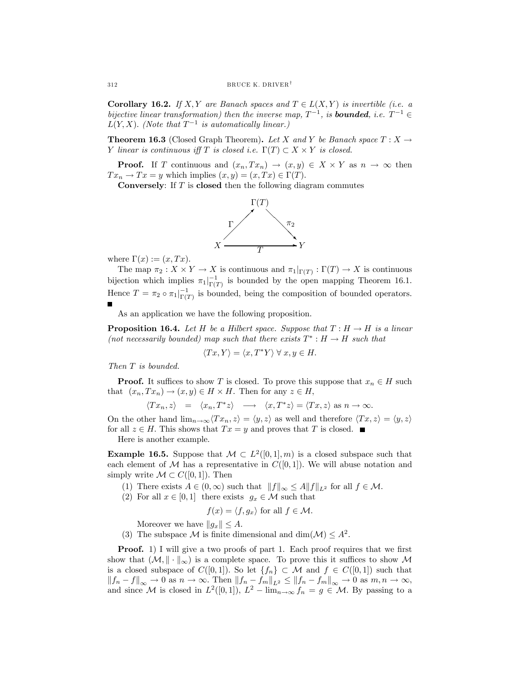Corollary 16.2. If X, Y are Banach spaces and  $T \in L(X,Y)$  is invertible (i.e. a bijective linear transformation) then the inverse map,  $T^{-1}$ , is **bounded**, i.e.  $T^{-1} \in$  $L(Y, X)$ . (Note that  $T^{-1}$  is automatically linear.)

**Theorem 16.3** (Closed Graph Theorem). Let X and Y be Banach space  $T : X \to Y$ Y linear is continuous iff T is closed i.e.  $\Gamma(T) \subset X \times Y$  is closed.

**Proof.** If T continuous and  $(x_n,Tx_n) \to (x,y) \in X \times Y$  as  $n \to \infty$  then  $Tx_n \to Tx = y$  which implies  $(x, y) = (x, Tx) \in \Gamma(T)$ .

**Conversely:** If  $T$  is **closed** then the following diagram commutes



where  $\Gamma(x) := (x, Tx)$ .

The map  $\pi_2 : X \times Y \to X$  is continuous and  $\pi_1|_{\Gamma(T)} : \Gamma(T) \to X$  is continuous bijection which implies  $\pi_1|_{\Gamma(T)}^{-1}$  is bounded by the open mapping Theorem 16.1. Hence  $T = \pi_2 \circ \pi_1|_{\Gamma(T)}^{-1}$  is bounded, being the composition of bounded operators.

As an application we have the following proposition.

**Proposition 16.4.** Let H be a Hilbert space. Suppose that  $T : H \to H$  is a linear (not necessarily bounded) map such that there exists  $T^* : H \to H$  such that

$$
\langle Tx, Y \rangle = \langle x, T^*Y \rangle \ \forall \ x, y \in H.
$$

Then T is bounded.

**Proof.** It suffices to show T is closed. To prove this suppose that  $x_n \in H$  such that  $(x_n, Tx_n) \to (x, y) \in H \times H$ . Then for any  $z \in H$ ,

$$
\langle Tx_n, z \rangle = \langle x_n, T^*z \rangle \longrightarrow \langle x, T^*z \rangle = \langle Tx, z \rangle \text{ as } n \to \infty.
$$

On the other hand  $\lim_{n\to\infty}\langle Tx_n, z\rangle = \langle y, z\rangle$  as well and therefore  $\langle Tx, z\rangle = \langle y, z\rangle$ for all  $z \in H$ . This shows that  $Tx = y$  and proves that T is closed.  $\blacksquare$ 

Here is another example.

**Example 16.5.** Suppose that  $M \subset L^2([0,1],m)$  is a closed subspace such that each element of  $\mathcal M$  has a representative in  $C([0,1])$ . We will abuse notation and simply write  $\mathcal{M} \subset C([0,1])$ . Then

- (1) There exists  $A \in (0, \infty)$  such that  $||f||_{\infty} \leq A||f||_{L^2}$  for all  $f \in \mathcal{M}$ .
- (2) For all  $x \in [0,1]$  there exists  $g_x \in \mathcal{M}$  such that

$$
f(x) = \langle f, g_x \rangle \text{ for all } f \in \mathcal{M}.
$$

Moreover we have  $||g_x|| \leq A$ .

(3) The subspace M is finite dimensional and dim $(\mathcal{M}) \leq A^2$ .

**Proof.** 1) I will give a two proofs of part 1. Each proof requires that we first show that  $(M, \|\cdot\|_{\infty})$  is a complete space. To prove this it suffices to show M is a closed subspace of  $C([0,1])$ . So let  $\{f_n\} \subset \mathcal{M}$  and  $f \in C([0,1])$  such that  $||f_n - f||_{\infty} \to 0$  as  $n \to \infty$ . Then  $||f_n - f_m||_{L^2} \le ||f_n - f_m||_{\infty} \to 0$  as  $m, n \to \infty$ , and since M is closed in  $L^2([0,1])$ ,  $L^2 - \lim_{n \to \infty} f_n = g \in \mathcal{M}$ . By passing to a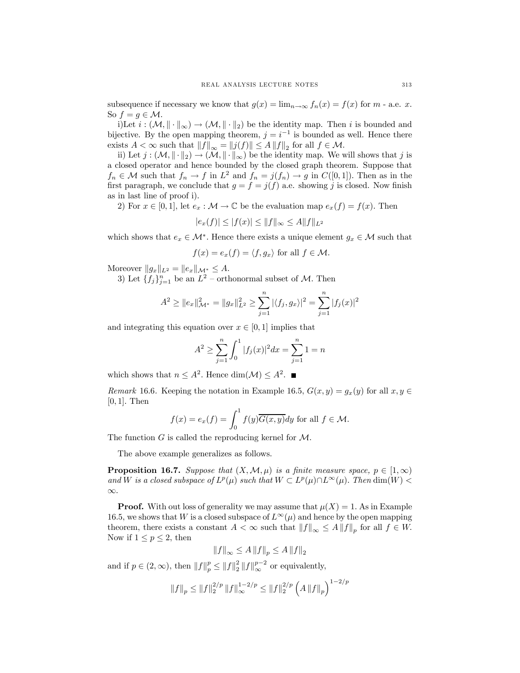subsequence if necessary we know that  $g(x) = \lim_{n \to \infty} f_n(x) = f(x)$  for  $m$  - a.e. x. So  $f = g \in \mathcal{M}$ .

i)Let  $i : (\mathcal{M}, \|\cdot\|_{\infty}) \to (\mathcal{M}, \|\cdot\|_{2})$  be the identity map. Then i is bounded and bijective. By the open mapping theorem,  $j = i^{-1}$  is bounded as well. Hence there exists  $A < \infty$  such that  $||f||_{\infty} = ||j(f)|| \le A ||f||_2$  for all  $f \in \mathcal{M}$ .

ii) Let  $j : (\mathcal{M}, \|\cdot\|_2) \to (\mathcal{M}, \|\cdot\|_{\infty})$  be the identity map. We will shows that j is a closed operator and hence bounded by the closed graph theorem. Suppose that  $f_n \in \mathcal{M}$  such that  $f_n \to f$  in  $L^2$  and  $f_n = j(f_n) \to g$  in  $C([0,1])$ . Then as in the first paragraph, we conclude that  $g = f = j(f)$  a.e. showing j is closed. Now finish as in last line of proof i).

2) For  $x \in [0,1]$ , let  $e_x : \mathcal{M} \to \mathbb{C}$  be the evaluation map  $e_x(f) = f(x)$ . Then

$$
|e_x(f)| \le |f(x)| \le ||f||_{\infty} \le A||f||_{L^2}
$$

which shows that  $e_x \in \mathcal{M}^*$ . Hence there exists a unique element  $g_x \in \mathcal{M}$  such that

$$
f(x) = e_x(f) = \langle f, g_x \rangle
$$
 for all  $f \in \mathcal{M}$ .

Moreover  $||g_x||_{L^2} = ||e_x||_{\mathcal{M}^*} \leq A$ .

3) Let  ${f_j}_{j=1}^n$  be an  $L^2$  – orthonormal subset of  $M$ . Then

$$
A^{2} \geq ||e_{x}||_{\mathcal{M}^{*}}^{2} = ||g_{x}||_{L^{2}}^{2} \geq \sum_{j=1}^{n} |\langle f_{j}, g_{x} \rangle|^{2} = \sum_{j=1}^{n} |f_{j}(x)|^{2}
$$

and integrating this equation over  $x \in [0, 1]$  implies that

$$
A^{2} \ge \sum_{j=1}^{n} \int_{0}^{1} |f_{j}(x)|^{2} dx = \sum_{j=1}^{n} 1 = n
$$

which shows that  $n \leq A^2$ . Hence dim $(\mathcal{M}) \leq A^2$ .

Remark 16.6. Keeping the notation in Example 16.5,  $G(x, y) = g_x(y)$  for all  $x, y \in$ [0, 1]. Then

$$
f(x) = e_x(f) = \int_0^1 f(y)\overline{G(x,y)}dy
$$
 for all  $f \in \mathcal{M}$ .

The function  $G$  is called the reproducing kernel for  $\mathcal M$ .

The above example generalizes as follows.

**Proposition 16.7.** Suppose that  $(X, \mathcal{M}, \mu)$  is a finite measure space,  $p \in [1, \infty)$ and W is a closed subspace of  $L^p(\mu)$  such that  $W \subset L^p(\mu) \cap L^\infty(\mu)$ . Then  $\dim(W)$ ∞.

**Proof.** With out loss of generality we may assume that  $\mu(X)=1$ . As in Example 16.5, we shows that W is a closed subspace of  $L^{\infty}(\mu)$  and hence by the open mapping theorem, there exists a constant  $A < \infty$  such that  $||f||_{\infty} \leq A ||f||_{p}$  for all  $f \in W$ . Now if  $1 \leq p \leq 2$ , then

$$
\left\|f\right\|_{\infty}\leq A\left\|f\right\|_p\leq A\left\|f\right\|_2
$$

and if  $p \in (2, \infty)$ , then  $||f||_p^p \le ||f||_2^p ||f||_{\infty}^{p-2}$  or equivalently,

$$
\left\Vert f\right\Vert _{p}\leq \left\Vert f\right\Vert _{2}^{2/p}\left\Vert f\right\Vert _{\infty }^{1-2/p}\leq \left\Vert f\right\Vert _{2}^{2/p}\left(A\left\Vert f\right\Vert _{p}\right)^{1-2/p}
$$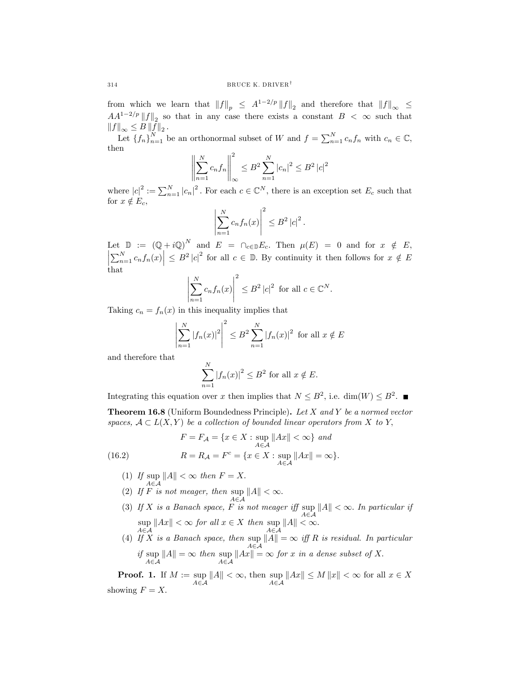from which we learn that  $||f||_p \leq A^{1-2/p} ||f||_2$  and therefore that  $||f||_{\infty} \leq$  $AA^{1-2/p}||f||_2$  so that in any case there exists a constant  $B < \infty$  such that  $\left\|f\right\|_{\infty} \leq B \left\|f\right\|_{2}.$ 

Let  ${f_n}_{n=1}^N$  be an orthonormal subset of W and  $f = \sum_{n=1}^N c_n f_n$  with  $c_n \in \mathbb{C}$ , then

$$
\left\| \sum_{n=1}^{N} c_n f_n \right\|_{\infty}^2 \le B^2 \sum_{n=1}^{N} |c_n|^2 \le B^2 |c|^2
$$

where  $|c|^2 := \sum_{n=1}^N |c_n|^2$ . For each  $c \in \mathbb{C}^N$ , there is an exception set  $E_c$  such that for  $x \notin E_c$ ,

$$
\left| \sum_{n=1}^{N} c_n f_n(x) \right|^2 \leq B^2 |c|^2.
$$

Let  $\mathbb{D} := (\mathbb{Q} + i\mathbb{Q})^N$  and  $E = \bigcap_{c \in \mathbb{D}} E_c$ . Then  $\mu(E) = 0$  and for  $x \notin E$ ,  $\left| \sum_{n=1}^N c_n f_n(x) \right| \leq B^2 |c|^2$  for all  $c \in \mathbb{D}$ . By continuity it then follows for  $x \notin E$ that

$$
\left|\sum_{n=1}^{N} c_n f_n(x)\right|^2 \le B^2 |c|^2 \text{ for all } c \in \mathbb{C}^N.
$$

Taking  $c_n = f_n(x)$  in this inequality implies that

$$
\left| \sum_{n=1}^{N} |f_n(x)|^2 \right|^2 \le B^2 \sum_{n=1}^{N} |f_n(x)|^2 \text{ for all } x \notin E
$$

and therefore that

$$
\sum_{n=1}^{N} |f_n(x)|^2 \le B^2 \text{ for all } x \notin E.
$$

Integrating this equation over x then implies that  $N \leq B^2$ , i.e. dim(W)  $\leq B^2$ .

**Theorem 16.8** (Uniform Boundedness Principle). Let X and Y be a normed vector spaces,  $A \subset L(X, Y)$  be a collection of bounded linear operators from X to Y,

(16.2) 
$$
F = F_{\mathcal{A}} = \{x \in X : \sup_{A \in \mathcal{A}} ||Ax|| < \infty\} \text{ and}
$$

$$
R = R_{\mathcal{A}} = F^{c} = \{x \in X : \sup_{A \in \mathcal{A}} ||Ax|| = \infty\}.
$$

- $(1)$  If sup  $\sup_{A \in \mathcal{A}} \|A\| < \infty$  then  $F = X$ .
- (2) If  $F$  is not meager, then sup  $\sup_{A \in \mathcal{A}} \|A\| < \infty.$
- (3) If X is a Banach space, F is not meager iff sup  $\sup_{A \in \mathcal{A}} \|A\| < \infty$ . In particular if sup  $\sup_{A \in \mathcal{A}} \|Ax\| < \infty$  for all  $x \in X$  then  $\sup_{A \in \mathcal{A}} \|A\| < \infty$ .
- (4) If  $X$  is a Banach space, then sup  $\sup_{A \in \mathcal{A}} \|A\| = \infty$  iff R is residual. In particular if sup  $\sup_{A \in \mathcal{A}} \|A\| = \infty$  then  $\sup_{A \in \mathcal{A}} \|Ax\| = \infty$  for x in a dense subset of X.

**Proof.** 1. If  $M := \text{sup}$  $\sup_{A \in \mathcal{A}} \|A\| < \infty$ , then  $\sup_{A \in \mathcal{A}} \|Ax\| \le M \|x\| < \infty$  for all  $x \in X$ showing  $F = X$ .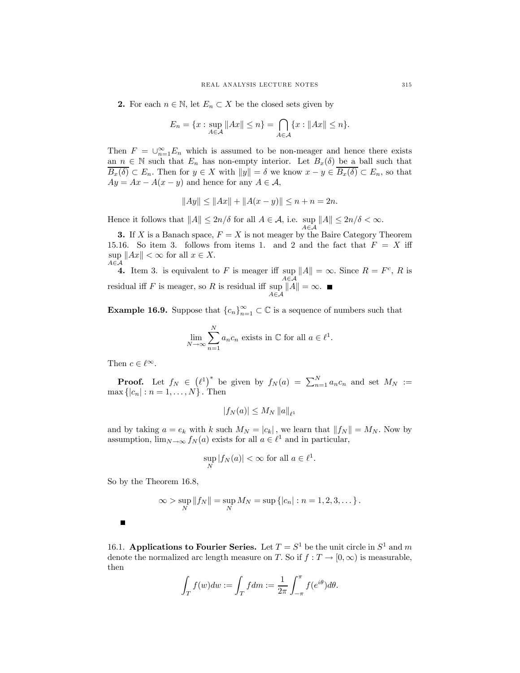2. For each  $n \in \mathbb{N}$ , let  $E_n \subset X$  be the closed sets given by

$$
E_n = \{x : \sup_{A \in \mathcal{A}} \|Ax\| \le n\} = \bigcap_{A \in \mathcal{A}} \{x : \|Ax\| \le n\}.
$$

Then  $F = \bigcup_{n=1}^{\infty} E_n$  which is assumed to be non-meager and hence there exists an  $n \in \mathbb{N}$  such that  $E_n$  has non-empty interior. Let  $B_x(\delta)$  be a ball such that  $\overline{B_x(\delta)} \subset E_n$ . Then for  $y \in X$  with  $||y|| = \delta$  we know  $x - y \in \overline{B_x(\delta)} \subset E_n$ , so that  $Ay = Ax - A(x - y)$  and hence for any  $A \in \mathcal{A}$ ,

$$
||Ay|| \le ||Ax|| + ||A(x - y)|| \le n + n = 2n.
$$

Hence it follows that  $||A|| \le 2n/\delta$  for all  $A \in \mathcal{A}$ , i.e.  $\sup_{A \in \mathcal{A}} ||A|| \le 2n/\delta < \infty$ .

3. If X is a Banach space,  $F = X$  is not meager by the Baire Category Theorem 15.16. So item 3. follows from items 1. and 2 and the fact that  $F = X$  iff  $\sup_{A \subseteq A} ||Ax|| < \infty$  for all  $x \in X$ . A∈A

**4.** Item 3. is equivalent to  $F$  is meager iff sup  $\sup_{A \in \mathcal{A}} \|A\| = \infty$ . Since  $R = F^c$ , R is residual iff  $F$  is meager, so  $R$  is residual iff sup  $\sup_{A \in \mathcal{A}} ||A|| = \infty.$ 

**Example 16.9.** Suppose that  ${c_n}_{n=1}^{\infty} \subset \mathbb{C}$  is a sequence of numbers such that

$$
\lim_{N \to \infty} \sum_{n=1}^{N} a_n c_n
$$
 exists in  $\mathbb{C}$  for all  $a \in \ell^1$ .

Then  $c \in \ell^{\infty}$ .

**Proof.** Let  $f_N \in (\ell^1)^*$  be given by  $f_N(a) = \sum_{n=1}^N a_n c_n$  and set  $M_N :=$  $\max\{|c_n| : n = 1, ..., N\}$ . Then

$$
|f_N(a)| \le M_N \, \|a\|_{\ell^1}
$$

and by taking  $a = e_k$  with k such  $M_N = |c_k|$ , we learn that  $||f_N|| = M_N$ . Now by assumption,  $\lim_{N\to\infty} f_N(a)$  exists for all  $a \in \ell^1$  and in particular,

$$
\sup_N |f_N(a)| < \infty \text{ for all } a \in \ell^1.
$$

So by the Theorem 16.8,

$$
\infty > \sup_N ||f_N|| = \sup_N M_N = \sup \{|c_n| : n = 1, 2, 3, \dots\}.
$$

Г

16.1. Applications to Fourier Series. Let  $T = S^1$  be the unit circle in  $S^1$  and m denote the normalized arc length measure on T. So if  $f : T \to [0, \infty)$  is measurable, then

$$
\int_T f(w)dw := \int_T f dm := \frac{1}{2\pi} \int_{-\pi}^{\pi} f(e^{i\theta})d\theta.
$$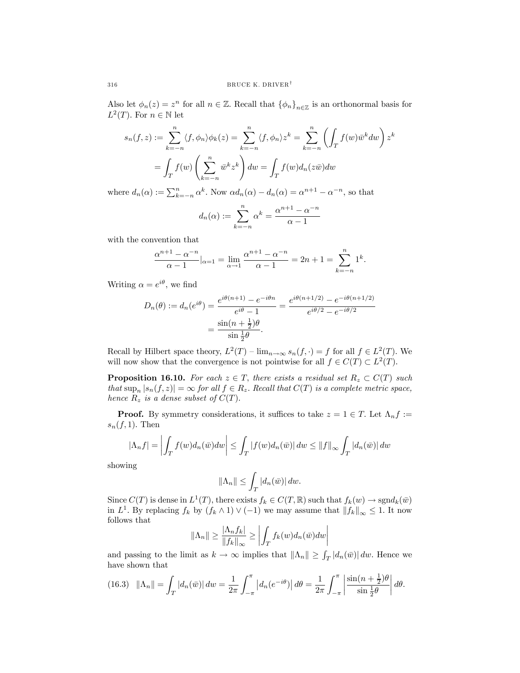Also let  $\phi_n(z) = z^n$  for all  $n \in \mathbb{Z}$ . Recall that  $\{\phi_n\}_{n \in \mathbb{Z}}$  is an orthonormal basis for  $L^2(T)$ . For  $n \in \mathbb{N}$  let

$$
s_n(f, z) := \sum_{k=-n}^n \langle f, \phi_n \rangle \phi_k(z) = \sum_{k=-n}^n \langle f, \phi_n \rangle z^k = \sum_{k=-n}^n \left( \int_T f(w) \overline{w}^k dw \right) z^k
$$

$$
= \int_T f(w) \left( \sum_{k=-n}^n \overline{w}^k z^k \right) dw = \int_T f(w) d_n(z \overline{w}) dw
$$

where  $d_n(\alpha) := \sum_{k=-n}^n \alpha^k$ . Now  $\alpha d_n(\alpha) - d_n(\alpha) = \alpha^{n+1} - \alpha^{-n}$ , so that

$$
d_n(\alpha) := \sum_{k=-n}^n \alpha^k = \frac{\alpha^{n+1} - \alpha^{-n}}{\alpha - 1}
$$

with the convention that

$$
\frac{\alpha^{n+1} - \alpha^{-n}}{\alpha - 1}|_{\alpha = 1} = \lim_{\alpha \to 1} \frac{\alpha^{n+1} - \alpha^{-n}}{\alpha - 1} = 2n + 1 = \sum_{k=-n}^{n} 1^k.
$$

Writing  $\alpha = e^{i\theta}$ , we find

$$
D_n(\theta) := d_n(e^{i\theta}) = \frac{e^{i\theta(n+1)} - e^{-i\theta n}}{e^{i\theta} - 1} = \frac{e^{i\theta(n+1/2)} - e^{-i\theta(n+1/2)}}{e^{i\theta/2} - e^{-i\theta/2}}
$$

$$
= \frac{\sin((n+\frac{1}{2})\theta)}{\sin(\frac{1}{2}\theta)}.
$$

Recall by Hilbert space theory,  $L^2(T) - \lim_{n \to \infty} s_n(f, \cdot) = f$  for all  $f \in L^2(T)$ . We will now show that the convergence is not pointwise for all  $f \in C(T) \subset L^2(T)$ .

**Proposition 16.10.** For each  $z \in T$ , there exists a residual set  $R_z \subset C(T)$  such that  $\sup_n |s_n(f, z)| = \infty$  for all  $f \in R_z$ . Recall that  $C(T)$  is a complete metric space, hence  $R_z$  is a dense subset of  $C(T)$ .

**Proof.** By symmetry considerations, it suffices to take  $z = 1 \in T$ . Let  $\Lambda_n f :=$  $s_n(f, 1)$ . Then

$$
|\Lambda_n f| = \left| \int_T f(w) d_n(\bar{w}) dw \right| \leq \int_T |f(w) d_n(\bar{w})| dw \leq ||f||_{\infty} \int_T |d_n(\bar{w})| dw
$$

showing

$$
\|\Lambda_n\|\leq \int_T |d_n(\bar{w})|\,dw.
$$

Since  $C(T)$  is dense in  $L^1(T)$ , there exists  $f_k \in C(T, \mathbb{R})$  such that  $f_k(w) \to \text{sgn}d_k(\bar{w})$ in  $L^1$ . By replacing  $f_k$  by  $(f_k \wedge 1) \vee (-1)$  we may assume that  $||f_k||_{\infty} \leq 1$ . It now follows that

$$
\|\Lambda_n\| \ge \frac{|\Lambda_n f_k|}{\|f_k\|_{\infty}} \ge \left| \int_T f_k(w) d_n(\bar{w}) dw \right|
$$

and passing to the limit as  $k \to \infty$  implies that  $\|\Lambda_n\| \geq \int_T |d_n(\bar{w})| \, dw$ . Hence we have shown that

(16.3) 
$$
\|\Lambda_n\| = \int_T |d_n(\bar{w})| \, dw = \frac{1}{2\pi} \int_{-\pi}^{\pi} |d_n(e^{-i\theta})| \, d\theta = \frac{1}{2\pi} \int_{-\pi}^{\pi} \left| \frac{\sin((n+\frac{1}{2})\theta)}{\sin(\frac{1}{2})}\right| \, d\theta.
$$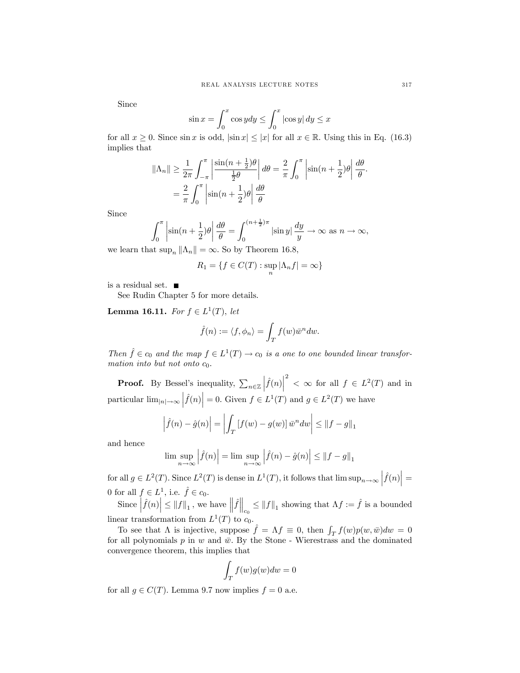Since

$$
\sin x = \int_0^x \cos y dy \le \int_0^x |\cos y| dy \le x
$$

for all  $x \geq 0$ . Since  $\sin x$  is odd,  $|\sin x| \leq |x|$  for all  $x \in \mathbb{R}$ . Using this in Eq. (16.3) implies that

$$
\|\Lambda_n\| \ge \frac{1}{2\pi} \int_{-\pi}^{\pi} \left| \frac{\sin((n+\frac{1}{2})\theta)}{\frac{1}{2}\theta} \right| d\theta = \frac{2}{\pi} \int_{0}^{\pi} \left| \sin((n+\frac{1}{2})\theta) \right| \frac{d\theta}{\theta}.
$$

$$
= \frac{2}{\pi} \int_{0}^{\pi} \left| \sin((n+\frac{1}{2})\theta) \right| \frac{d\theta}{\theta}
$$

Since

$$
\int_0^\pi \left| \sin(n + \frac{1}{2})\theta \right| \frac{d\theta}{\theta} = \int_0^{(n + \frac{1}{2})\pi} \left| \sin y \right| \frac{dy}{y} \to \infty \text{ as } n \to \infty,
$$

we learn that  $\sup_n ||\Lambda_n|| = \infty$ . So by Theorem 16.8,

$$
R_1 = \{ f \in C(T) : \sup_n |\Lambda_n f| = \infty \}
$$

is a residual set.  $\quad \blacksquare$ 

See Rudin Chapter 5 for more details.

Lemma 16.11. For  $f \in L^1(T)$ , let

$$
\hat{f}(n) := \langle f, \phi_n \rangle = \int_T f(w) \bar{w}^n dw.
$$

Then  $\hat{f} \in c_0$  and the map  $f \in L^1(T) \to c_0$  is a one to one bounded linear transformation into but not onto  $c_0$ .

**Proof.** By Bessel's inequality,  $\sum_{n\in\mathbb{Z}}$  $\left| \hat{f}(n) \right|$ <sup>2</sup> <  $\in$  6 for all  $f \in L^2(T)$  and in particular  $\lim_{|n| \to \infty} |\hat{f}(n)| = 0$ . Given  $f \in L^1(T)$  and  $g \in L^2(T)$  we have

$$
\left|\hat{f}(n) - \hat{g}(n)\right| = \left|\int_{T} \left[f(w) - g(w)\right] \bar{w}^n dw\right| \leq \|f - g\|_1
$$

and hence

$$
\limsup_{n \to \infty} \left| \hat{f}(n) \right| = \limsup_{n \to \infty} \left| \hat{f}(n) - \hat{g}(n) \right| \leq \left\| f - g \right\|_1
$$

for all  $g \in L^2(T)$ . Since  $L^2(T)$  is dense in  $L^1(T)$ , it follows that  $\limsup_{n\to\infty} |\hat{f}(n)| =$ 0 for all  $f \in L^1$ , i.e.  $\hat{f} \in c_0$ .

Since  $\left|\widehat{f}(n)\right| \leq ||f||_1$ , we have  $\left\|\widehat{f}\right\|_{c_0} \leq ||f||_1$  showing that  $\Lambda f := \widehat{f}$  is a bounded linear transformation from  $L^1(T)$  to  $c_0$ .

To see that  $\Lambda$  is injective, suppose  $\hat{f} = \Lambda f \equiv 0$ , then  $\int_T f(w)p(w,\bar{w})dw = 0$ for all polynomials p in w and  $\bar{w}$ . By the Stone - Wierestrass and the dominated convergence theorem, this implies that

$$
\int_T f(w)g(w)dw = 0
$$

for all  $g \in C(T)$ . Lemma 9.7 now implies  $f = 0$  a.e.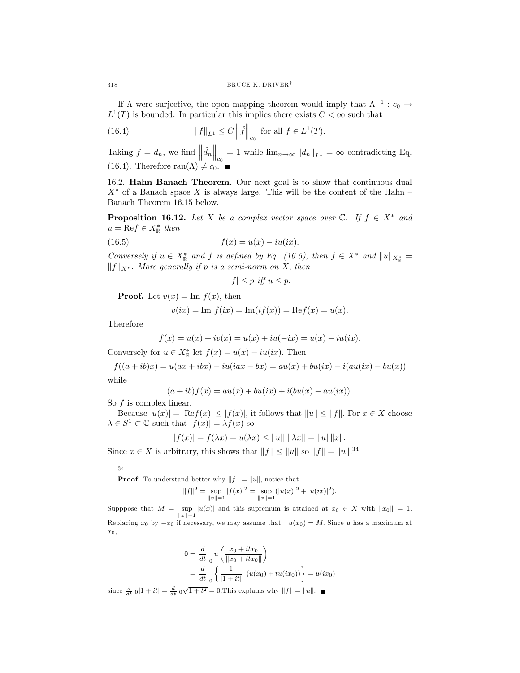If  $\Lambda$  were surjective, the open mapping theorem would imply that  $\Lambda^{-1}$  :  $c_0 \rightarrow$  $L^1(T)$  is bounded. In particular this implies there exists  $C < \infty$  such that

(16.4) 
$$
||f||_{L^1} \leq C ||\hat{f}||_{c_0} \text{ for all } f \in L^1(T).
$$

Taking  $f = d_n$ , we find  $\left\| \hat{d}_n \right\|_{c_0} = 1$  while  $\lim_{n \to \infty} \| d_n \|_{L^1} = \infty$  contradicting Eq. (16.4). Therefore ran( $\Lambda$ )  $\neq c_0$ .

16.2. Hahn Banach Theorem. Our next goal is to show that continuous dual  $X^*$  of a Banach space X is always large. This will be the content of the Hahn – Banach Theorem 16.15 below.

**Proposition 16.12.** Let X be a complex vector space over  $\mathbb{C}$ . If  $f \in X^*$  and  $u = \text{Re}f \in X^*_{\mathbb{R}}$  then

(16.5) 
$$
f(x) = u(x) - iu(ix).
$$

Conversely if  $u \in X^*_{\mathbb{R}}$  and f is defined by Eq. (16.5), then  $f \in X^*$  and  $||u||_{X^*_{\mathbb{R}}} =$  $||f||_{X^*}$ . More generally if p is a semi-norm on X, then

$$
|f| \le p \text{ iff } u \le p.
$$

**Proof.** Let  $v(x) = \text{Im } f(x)$ , then

$$
v(ix) = \text{Im } f(ix) = \text{Im}(if(x)) = \text{Re} f(x) = u(x).
$$

Therefore

$$
f(x) = u(x) + iv(x) = u(x) + iu(-ix) = u(x) - iu(ix).
$$

Conversely for  $u \in X^*_{\mathbb{R}}$  let  $f(x) = u(x) - iu(ix)$ . Then

 $f((a + ib)x) = u(ax + ibx) - iu(iax - bx) = au(x) + bu(ix) - i(au(ix) - bu(x))$ while

$$
(a + ib) f(x) = au(x) + bu(ix) + i(bu(x) - au(ix)).
$$

So  $f$  is complex linear.

Because  $|u(x)| = |\text{Re}f(x)| \leq |f(x)|$ , it follows that  $||u|| \leq ||f||$ . For  $x \in X$  choose  $\lambda \in S^1 \subset \mathbb{C}$  such that  $|f(x)| = \lambda f(x)$  so

$$
|f(x)| = f(\lambda x) = u(\lambda x) \le ||u|| \, ||\lambda x|| = ||u|| ||x||.
$$

Since  $x \in X$  is arbitrary, this shows that  $||f|| \le ||u||$  so  $||f|| = ||u||^{34}$ 

34

**Proof.** To understand better why  $||f|| = ||u||$ , notice that

$$
||f||^2 = \sup_{||x||=1} |f(x)|^2 = \sup_{||x||=1} (|u(x)|^2 + |u(ix)|^2).
$$

Supppose that  $M = \text{sup}$  $\sup_{\|x\|=1} |u(x)|$  and this supremum is attained at  $x_0 \in X$  with  $\|x_0\| = 1$ . Replacing  $x_0$  by  $-x_0$  if necessary, we may assume that  $u(x_0) = M$ . Since u has a maximum at x0,

$$
0 = \frac{d}{dt}\Big|_0 u\left(\frac{x_0 + itx_0}{\|x_0 + itx_0\|}\right)
$$
  
= 
$$
\frac{d}{dt}\Big|_0 \left\{\frac{1}{|1 + it|} (u(x_0) + tu(ix_0))\right\} = u(ix_0)
$$

since  $\frac{d}{dt}|0|1 + it| = \frac{d}{dt}|0\sqrt{1 + t^2} = 0$ . This explains why  $||f|| = ||u||$ .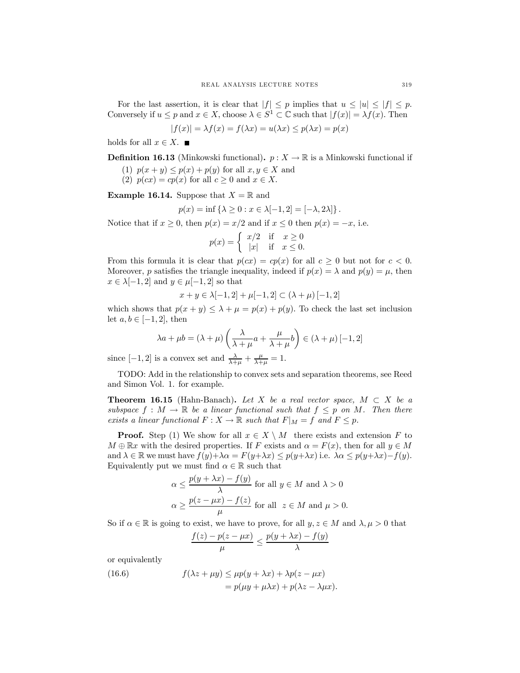For the last assertion, it is clear that  $|f| \leq p$  implies that  $u \leq |u| \leq |f| \leq p$ . Conversely if  $u \leq p$  and  $x \in X$ , choose  $\lambda \in S^1 \subset \mathbb{C}$  such that  $|f(x)| = \lambda f(x)$ . Then

$$
|f(x)| = \lambda f(x) = f(\lambda x) = u(\lambda x) \le p(\lambda x) = p(x)
$$

holds for all  $x \in X$ .

**Definition 16.13** (Minkowski functional).  $p: X \to \mathbb{R}$  is a Minkowski functional if

- (1)  $p(x + y) \leq p(x) + p(y)$  for all  $x, y \in X$  and
- (2)  $p(cx) = cp(x)$  for all  $c \ge 0$  and  $x \in X$ .

**Example 16.14.** Suppose that  $X = \mathbb{R}$  and

$$
p(x) = \inf \{ \lambda \ge 0 : x \in \lambda[-1, 2] = [-\lambda, 2\lambda] \}.
$$

Notice that if  $x \ge 0$ , then  $p(x) = x/2$  and if  $x \le 0$  then  $p(x) = -x$ , i.e.

$$
p(x) = \begin{cases} x/2 & \text{if } x \ge 0\\ |x| & \text{if } x \le 0. \end{cases}
$$

From this formula it is clear that  $p(cx) = cp(x)$  for all  $c \ge 0$  but not for  $c < 0$ . Moreover, p satisfies the triangle inequality, indeed if  $p(x) = \lambda$  and  $p(y) = \mu$ , then  $x \in \lambda[-1,2]$  and  $y \in \mu[-1,2]$  so that

$$
x + y \in \lambda[-1, 2] + \mu[-1, 2] \subset (\lambda + \mu) [-1, 2]
$$

which shows that  $p(x + y) \leq \lambda + \mu = p(x) + p(y)$ . To check the last set inclusion let  $a, b \in [-1, 2]$ , then

$$
\lambda a + \mu b = (\lambda + \mu) \left( \frac{\lambda}{\lambda + \mu} a + \frac{\mu}{\lambda + \mu} b \right) \in (\lambda + \mu) [-1, 2]
$$

since  $[-1, 2]$  is a convex set and  $\frac{\lambda}{\lambda + \mu} + \frac{\mu}{\lambda + \mu} = 1$ .

TODO: Add in the relationship to convex sets and separation theorems, see Reed and Simon Vol. 1. for example.

**Theorem 16.15** (Hahn-Banach). Let X be a real vector space,  $M \subset X$  be a subspace  $f : M \to \mathbb{R}$  be a linear functional such that  $f \leq p$  on M. Then there exists a linear functional  $F: X \to \mathbb{R}$  such that  $F|_M = f$  and  $F \leq p$ .

**Proof.** Step (1) We show for all  $x \in X \setminus M$  there exists and extension F to  $M \oplus \mathbb{R}x$  with the desired properties. If F exists and  $\alpha = F(x)$ , then for all  $y \in M$ and  $\lambda \in \mathbb{R}$  we must have  $f(y)+\lambda \alpha = F(y+\lambda x) \leq p(y+\lambda x)$  i.e.  $\lambda \alpha \leq p(y+\lambda x) - f(y)$ . Equivalently put we must find  $\alpha \in \mathbb{R}$  such that

$$
\alpha \le \frac{p(y + \lambda x) - f(y)}{\lambda} \text{ for all } y \in M \text{ and } \lambda > 0
$$
  

$$
\alpha \ge \frac{p(z - \mu x) - f(z)}{\mu} \text{ for all } z \in M \text{ and } \mu > 0.
$$

So if  $\alpha \in \mathbb{R}$  is going to exist, we have to prove, for all  $y, z \in M$  and  $\lambda, \mu > 0$  that

$$
\frac{f(z) - p(z - \mu x)}{\mu} \le \frac{p(y + \lambda x) - f(y)}{\lambda}
$$

or equivalently

(16.6) 
$$
f(\lambda z + \mu y) \le \mu p(y + \lambda x) + \lambda p(z - \mu x)
$$

$$
= p(\mu y + \mu \lambda x) + p(\lambda z - \lambda \mu x).
$$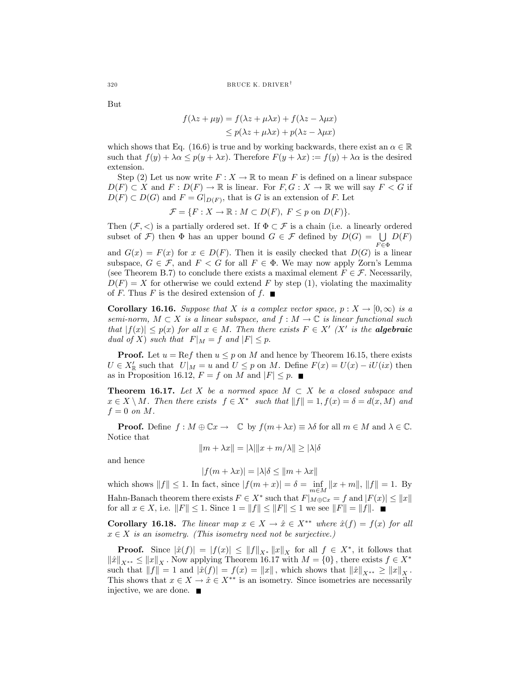But

$$
f(\lambda z + \mu y) = f(\lambda z + \mu \lambda x) + f(\lambda z - \lambda \mu x)
$$
  
\n
$$
\leq p(\lambda z + \mu \lambda x) + p(\lambda z - \lambda \mu x)
$$

which shows that Eq. (16.6) is true and by working backwards, there exist an  $\alpha \in \mathbb{R}$ such that  $f(y) + \lambda \alpha \leq p(y + \lambda x)$ . Therefore  $F(y + \lambda x) := f(y) + \lambda \alpha$  is the desired extension.

Step (2) Let us now write  $F: X \to \mathbb{R}$  to mean F is defined on a linear subspace  $D(F) \subset X$  and  $F: D(F) \to \mathbb{R}$  is linear. For  $F, G: X \to \mathbb{R}$  we will say  $F < G$  if  $D(F) \subset D(G)$  and  $F = G|_{D(F)}$ , that is G is an extension of F. Let

$$
\mathcal{F} = \{ F : X \to \mathbb{R} : M \subset D(F), \ F \le p \text{ on } D(F) \}.
$$

Then  $(\mathcal{F}, <)$  is a partially ordered set. If  $\Phi \subset \mathcal{F}$  is a chain (i.e. a linearly ordered subset of  $\mathcal{F}$ ) then  $\Phi$  has an upper bound  $G \in \mathcal{F}$  defined by  $D(G) = \bigcup_{D \subset \mathcal{F}} D(F)$ 

and  $G(x) = F(x)$  for  $x \in D(F)$ . Then it is easily checked that  $D(G)$  is a linear subspace,  $G \in \mathcal{F}$ , and  $F \subset G$  for all  $F \in \Phi$ . We may now apply Zorn's Lemma (see Theorem B.7) to conclude there exists a maximal element  $F \in \mathcal{F}$ . Necessarily,  $D(F) = X$  for otherwise we could extend F by step (1), violating the maximality of F. Thus F is the desired extension of  $f$ .

**Corollary 16.16.** Suppose that X is a complex vector space,  $p : X \to [0, \infty)$  is a semi-norm,  $M \subset X$  is a linear subspace, and  $f : M \to \mathbb{C}$  is linear functional such that  $|f(x)| \leq p(x)$  for all  $x \in M$ . Then there exists  $F \in X'$  (X' is the **algebraic** dual of X) such that  $F|_M = f$  and  $|F| \leq p$ .

**Proof.** Let  $u = \text{Re} f$  then  $u \leq p$  on M and hence by Theorem 16.15, there exists  $U \in X_{\mathbb{R}}'$  such that  $U|_M = u$  and  $U \leq p$  on M. Define  $F(x) = U(x) - iU(ix)$  then as in Proposition 16.12,  $F = f$  on M and  $|F| \leq p$ .

**Theorem 16.17.** Let X be a normed space  $M \subset X$  be a closed subspace and  $x \in X \setminus M$ . Then there exists  $f \in X^*$  such that  $||f|| = 1, f(x) = \delta = d(x, M)$  and  $f = 0$  on M.

**Proof.** Define  $f : M \oplus \mathbb{C}x \to \mathbb{C}$  by  $f(m + \lambda x) \equiv \lambda \delta$  for all  $m \in M$  and  $\lambda \in \mathbb{C}$ . Notice that

$$
||m + \lambda x|| = |\lambda| ||x + m/\lambda|| \ge |\lambda|\delta
$$

and hence

$$
|f(m + \lambda x)| = |\lambda|\delta \le ||m + \lambda x||
$$

which shows  $||f|| \le 1$ . In fact, since  $|f(m + x)| = \delta = \inf_{m \in M} ||x + m||$ ,  $||f|| = 1$ . By Hahn-Banach theorem there exists  $F \in X^*$  such that  $F|_{M \oplus \mathbb{C}x} = f$  and  $|F(x)| \leq ||x||$ for all  $x \in X$ , i.e.  $||F|| \le 1$ . Since  $1 = ||f|| \le ||F|| \le 1$  we see  $||F|| = ||f||$ . ■

Corollary 16.18. The linear map  $x \in X \to \hat{x} \in X^{**}$  where  $\hat{x}(f) = f(x)$  for all  $x \in X$  is an isometry. (This isometry need not be surjective.)

**Proof.** Since  $|\hat{x}(f)| = |f(x)| \leq ||f||_{X^*} ||x||_X$  for all  $f \in X^*$ , it follows that  $\|x\|_{X^{**}} \leq \|x\|_X$ . Now applying Theorem 16.17 with  $M = \{0\}$ , there exists  $f \in X^*$ such that  $||f|| = 1$  and  $|\hat{x}(f)| = f(x) = ||x||$ , which shows that  $||\hat{x}||_{X^{**}} \ge ||x||_X$ . This shows that  $x \in X \to \hat{x} \in X^{**}$  is an isometry. Since isometries are necessarily injective, we are done.  $\blacksquare$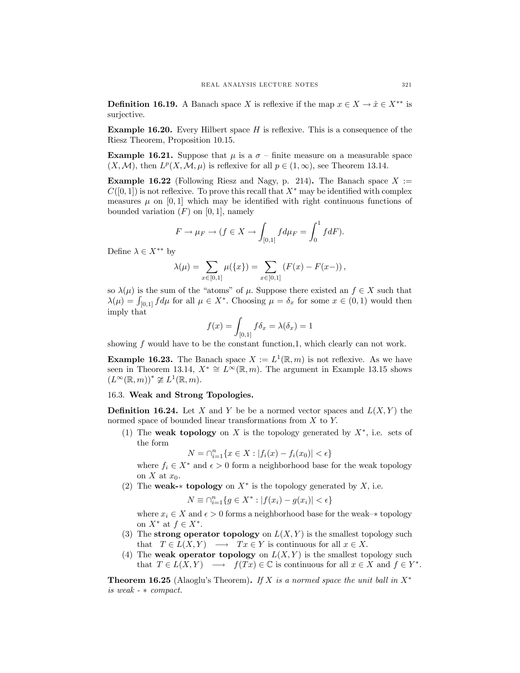**Definition 16.19.** A Banach space X is reflexive if the map  $x \in X \to \hat{x} \in X^{**}$  is surjective.

**Example 16.20.** Every Hilbert space  $H$  is reflexive. This is a consequence of the Riesz Theorem, Proposition 10.15.

**Example 16.21.** Suppose that  $\mu$  is a  $\sigma$  – finite measure on a measurable space  $(X, \mathcal{M})$ , then  $L^p(X, \mathcal{M}, \mu)$  is reflexive for all  $p \in (1, \infty)$ , see Theorem 13.14.

**Example 16.22** (Following Riesz and Nagy, p. 214). The Banach space  $X :=$  $C([0, 1])$  is not reflexive. To prove this recall that  $X^*$  may be identified with complex measures  $\mu$  on [0, 1] which may be identified with right continuous functions of bounded variation  $(F)$  on  $[0, 1]$ , namely

$$
F \to \mu_F \to (f \in X \to \int_{[0,1]} f d\mu_F = \int_0^1 f dF).
$$

Define  $\lambda \in X^{**}$  by

$$
\lambda(\mu) = \sum_{x \in [0,1]} \mu(\{x\}) = \sum_{x \in [0,1]} (F(x) - F(x-)),
$$

so  $\lambda(\mu)$  is the sum of the "atoms" of  $\mu$ . Suppose there existed an  $f \in X$  such that  $\lambda(\mu) = \int_{[0,1]} f d\mu$  for all  $\mu \in X^*$ . Choosing  $\mu = \delta_x$  for some  $x \in (0,1)$  would then imply that

$$
f(x) = \int_{[0,1]} f \delta_x = \lambda(\delta_x) = 1
$$

showing  $f$  would have to be the constant function, 1, which clearly can not work.

**Example 16.23.** The Banach space  $X := L^1(\mathbb{R}, m)$  is not reflexive. As we have seen in Theorem 13.14,  $X^* \cong L^{\infty}(\mathbb{R}, m)$ . The argument in Example 13.15 shows  $(L^{\infty}(\mathbb{R},m))^* \ncong L^1(\mathbb{R},m).$ 

## 16.3. Weak and Strong Topologies.

**Definition 16.24.** Let X and Y be be a normed vector spaces and  $L(X, Y)$  the normed space of bounded linear transformations from X to Y.

(1) The **weak topology** on X is the topology generated by  $X^*$ , i.e. sets of the form

$$
N = \bigcap_{i=1}^{n} \{ x \in X : |f_i(x) - f_i(x_0)| < \epsilon \}
$$

where  $f_i \in X^*$  and  $\epsilon > 0$  form a neighborhood base for the weak topology on X at  $x_0$ .

(2) The weak- $*$  topology on  $X^*$  is the topology generated by  $X$ , i.e.

$$
N \equiv \bigcap_{i=1}^n \{ g \in X^* : |f(x_i) - g(x_i)| < \epsilon \}
$$

where  $x_i \in X$  and  $\epsilon > 0$  forms a neighborhood base for the weak- $*$  topology on  $X^*$  at  $f \in X^*$ .

- (3) The strong operator topology on  $L(X, Y)$  is the smallest topology such that  $T \in L(X, Y) \longrightarrow Tx \in Y$  is continuous for all  $x \in X$ .
- (4) The weak operator topology on  $L(X, Y)$  is the smallest topology such that  $T \in L(X, Y) \longrightarrow f(Tx) \in \mathbb{C}$  is continuous for all  $x \in X$  and  $f \in Y^*$ .

**Theorem 16.25** (Alaoglu's Theorem). If X is a normed space the unit ball in  $X^*$ is weak - ∗ compact.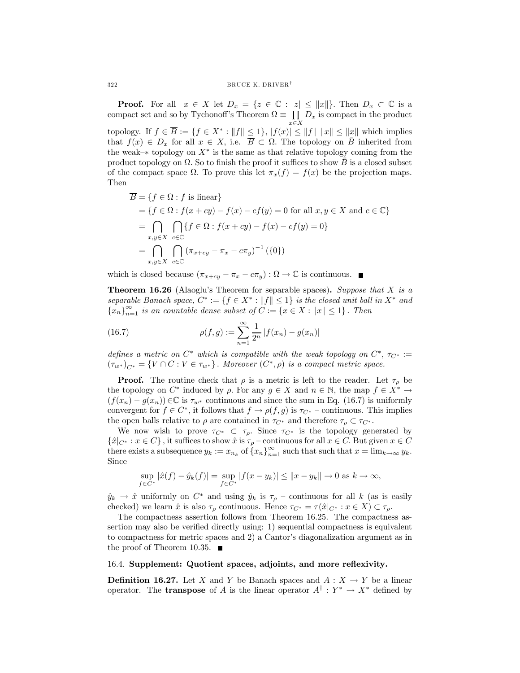**Proof.** For all  $x \in X$  let  $D_x = \{z \in \mathbb{C} : |z| \leq ||x||\}$ . Then  $D_x \subset \mathbb{C}$  is a compact set and so by Tychonoff's Theorem  $\Omega \equiv \prod_{x \in X}$  $D_x$  is compact in the product topology. If  $f \in \overline{B} := \{f \in X^* : ||f|| \leq 1\}$ ,  $|f(x)| \leq ||f|| ||x|| \leq ||x||$  which implies that  $f(x) \in D_x$  for all  $x \in X$ , i.e.  $\overline{B} \subset \Omega$ . The topology on  $\overline{B}$  inherited from the weak–∗ topology on  $X^*$  is the same as that relative topology coming from the product topology on  $\Omega$ . So to finish the proof it suffices to show  $\overline{B}$  is a closed subset of the compact space  $\Omega$ . To prove this let  $\pi_x(f) = f(x)$  be the projection maps. Then

$$
\overline{B} = \{f \in \Omega : f \text{ is linear}\}
$$
\n
$$
= \{f \in \Omega : f(x+cy) - f(x) - cf(y) = 0 \text{ for all } x, y \in X \text{ and } c \in \mathbb{C}\}
$$
\n
$$
= \bigcap_{x,y \in X} \bigcap_{c \in \mathbb{C}} \{f \in \Omega : f(x+cy) - f(x) - cf(y) = 0\}
$$
\n
$$
= \bigcap_{x,y \in X} \bigcap_{c \in \mathbb{C}} (\pi_{x+cy} - \pi_x - c\pi_y)^{-1} (\{0\})
$$

which is closed because  $(\pi_{x+cy} - \pi_x - c\pi_y) : \Omega \to \mathbb{C}$  is continuous.

**Theorem 16.26** (Alaoglu's Theorem for separable spaces). Suppose that  $X$  is a separable Banach space,  $C^* := \{f \in X^* : ||f|| \leq 1\}$  is the closed unit ball in  $X^*$  and  ${x_n}_{n=1}^{\infty}$  is an countable dense subset of  $C := {x \in X : ||x|| \le 1}.$  Then

(16.7) 
$$
\rho(f,g) := \sum_{n=1}^{\infty} \frac{1}{2^n} |f(x_n) - g(x_n)|
$$

defines a metric on  $C^*$  which is compatible with the weak topology on  $C^*$ ,  $\tau_{C^*} :=$  $(\tau_{w^*})_{C^*} = \{V \cap C : V \in \tau_{w^*}\}\.$  Moreover  $(C^*, \rho)$  is a compact metric space.

**Proof.** The routine check that  $\rho$  is a metric is left to the reader. Let  $\tau_{\rho}$  be the topology on  $C^*$  induced by  $\rho$ . For any  $g \in X$  and  $n \in \mathbb{N}$ , the map  $f \in X^* \to Y$  $(f(x_n) - g(x_n)) \in \mathbb{C}$  is  $\tau_{w^*}$  continuous and since the sum in Eq. (16.7) is uniformly convergent for  $f \in C^*$ , it follows that  $f \to \rho(f,g)$  is  $\tau_{C^*}$  – continuous. This implies the open balls relative to  $\rho$  are contained in  $\tau_{C^*}$  and therefore  $\tau_\rho \subset \tau_{C^*}$ .

We now wish to prove  $\tau_{C^*} \subset \tau_{\rho}$ . Since  $\tau_{C^*}$  is the topology generated by  $\{\hat{x}|_{C^*}: x \in C\}$ , it suffices to show  $\hat{x}$  is  $\tau_p$  – continuous for all  $x \in C$ . But given  $x \in C$ there exists a subsequence  $y_k := x_{n_k}$  of  $\{x_n\}_{n=1}^{\infty}$  such that such that  $x = \lim_{k \to \infty} y_k$ . Since

$$
\sup_{f \in C^*} |\hat{x}(f) - \hat{y}_k(f)| = \sup_{f \in C^*} |f(x - y_k)| \le ||x - y_k|| \to 0 \text{ as } k \to \infty,
$$

 $\hat{y}_k \to \hat{x}$  uniformly on  $C^*$  and using  $\hat{y}_k$  is  $\tau_\rho$  – continuous for all k (as is easily checked) we learn  $\hat{x}$  is also  $\tau_{\rho}$  continuous. Hence  $\tau_{C^*} = \tau(\hat{x}|_{C^*}: x \in X) \subset \tau_{\rho}$ .

The compactness assertion follows from Theorem 16.25. The compactness assertion may also be verified directly using: 1) sequential compactness is equivalent to compactness for metric spaces and 2) a Cantor's diagonalization argument as in the proof of Theorem 10.35.  $\blacksquare$ 

### 16.4. Supplement: Quotient spaces, adjoints, and more reflexivity.

**Definition 16.27.** Let X and Y be Banach spaces and  $A: X \to Y$  be a linear operator. The **transpose** of A is the linear operator  $A^{\dagger}$  :  $Y^* \rightarrow X^*$  defined by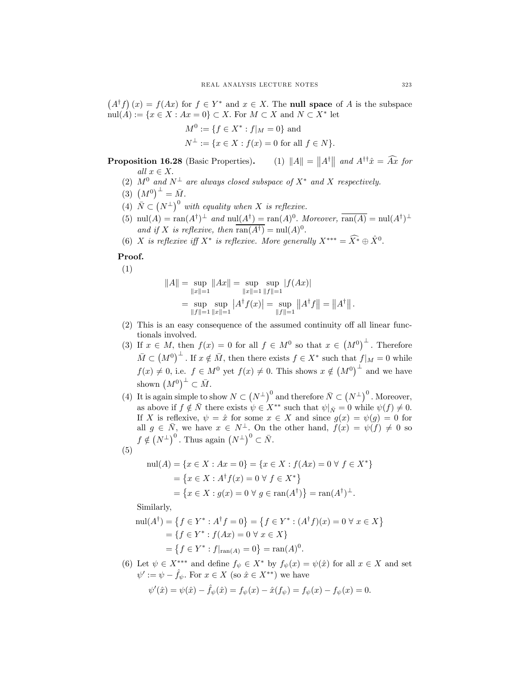$(A^{\dagger}f)(x) = f(Ax)$  for  $f \in Y^*$  and  $x \in X$ . The **null space** of A is the subspace  $\mathrm{null}(A) := \{x \in X : Ax = 0\} \subset X.$  For  $M \subset X$  and  $N \subset X^*$  let

$$
M^{0} := \{ f \in X^* : f|_{M} = 0 \} \text{ and}
$$
  

$$
N^{\perp} := \{ x \in X : f(x) = 0 \text{ for all } f \in N \}.
$$

**Proposition 16.28** (Basic Properties). (1)  $||A|| = ||A^{\dagger}||$  and  $A^{\dagger \dagger} \hat{x} = \widehat{A} \hat{x}$  for all  $x \in X$ .

- (2)  $M^0$  and  $N^{\perp}$  are always closed subspace of  $X^*$  and X respectively.
- (3)  $(M^0)^{\perp} = \bar{M}$ .
- (4)  $\overline{N} \subset (N^{\perp})^0$  with equality when X is reflexive.
- (5) nul(A) = ran(A<sup>†</sup>)<sup>⊥</sup> and nul(A<sup>†</sup>) = ran(A)<sup>0</sup>. Moreover,  $\overline{\text{ran}(A)}$  = nul(A<sup>†</sup>)<sup>⊥</sup> and if X is reflexive, then  $\overline{\text{ran}(A^{\dagger})} = \text{nul}(A)^0$ .
- (6) X is reflexive iff  $X^*$  is reflexive. More generally  $X^{***} = \widehat{X^*} \oplus \widehat{X}^0$ .

# Proof.

(1)

$$
||A|| = \sup_{||x||=1} ||Ax|| = \sup_{||x||=1} \sup_{||f||=1} |f(Ax)|
$$
  
= 
$$
\sup_{||f||=1} \sup_{||x||=1} |A^{\dagger}f(x)| = \sup_{||f||=1} ||A^{\dagger}f|| = ||A^{\dagger}||.
$$

- (2) This is an easy consequence of the assumed continuity off all linear functionals involved.
- (3) If  $x \in M$ , then  $f(x) = 0$  for all  $f \in M^0$  so that  $x \in (M^0)^{\perp}$ . Therefore  $\bar{M} \subset (M^0)^{\perp}$ . If  $x \notin \bar{M}$ , then there exists  $f \in X^*$  such that  $f|_M = 0$  while  $f(x) \neq 0$ , i.e.  $f \in M^0$  yet  $f(x) \neq 0$ . This shows  $x \notin (M^0)^{\perp}$  and we have shown  $(M^0)^{\perp} \subset \overline{M}$ .
- (4) It is again simple to show  $N \subset (N^{\perp})^0$  and therefore  $\bar{N} \subset (N^{\perp})^0$ . Moreover, as above if  $f \notin \overline{N}$  there exists  $\psi \in X^{**}$  such that  $\psi|_{\overline{N}} = 0$  while  $\psi(f) \neq 0$ . If X is reflexive,  $\psi = \hat{x}$  for some  $x \in X$  and since  $g(x) = \psi(g) = 0$  for all  $g \in \overline{N}$ , we have  $x \in N^{\perp}$ . On the other hand,  $f(x) = \psi(f) \neq 0$  so  $f \notin (N^{\perp})^0$ . Thus again  $(N^{\perp})^0 \subset \overline{N}$ .

$$
(5)
$$

$$
\text{null}(A) = \{x \in X : Ax = 0\} = \{x \in X : f(Ax) = 0 \,\forall \, f \in X^*\}
$$
\n
$$
= \{x \in X : A^\dagger f(x) = 0 \,\forall \, f \in X^*\}
$$
\n
$$
= \{x \in X : g(x) = 0 \,\forall \, g \in \text{ran}(A^\dagger)\} = \text{ran}(A^\dagger)^\perp.
$$

Similarly,

$$
\text{null}(A^{\dagger}) = \{ f \in Y^* : A^{\dagger} f = 0 \} = \{ f \in Y^* : (A^{\dagger} f)(x) = 0 \ \forall \ x \in X \}
$$
\n
$$
= \{ f \in Y^* : f(Ax) = 0 \ \forall \ x \in X \}
$$
\n
$$
= \{ f \in Y^* : f|_{\text{ran}(A)} = 0 \} = \text{ran}(A)^0.
$$

(6) Let  $\psi \in X^{***}$  and define  $f_{\psi} \in X^{*}$  by  $f_{\psi}(x) = \psi(\hat{x})$  for all  $x \in X$  and set  $\psi' := \psi - \hat{f}_{\psi}$ . For  $x \in X$  (so  $\hat{x} \in X^{**}$ ) we have

$$
\psi'(\hat{x}) = \psi(\hat{x}) - \hat{f}_{\psi}(\hat{x}) = f_{\psi}(x) - \hat{x}(f_{\psi}) = f_{\psi}(x) - f_{\psi}(x) = 0.
$$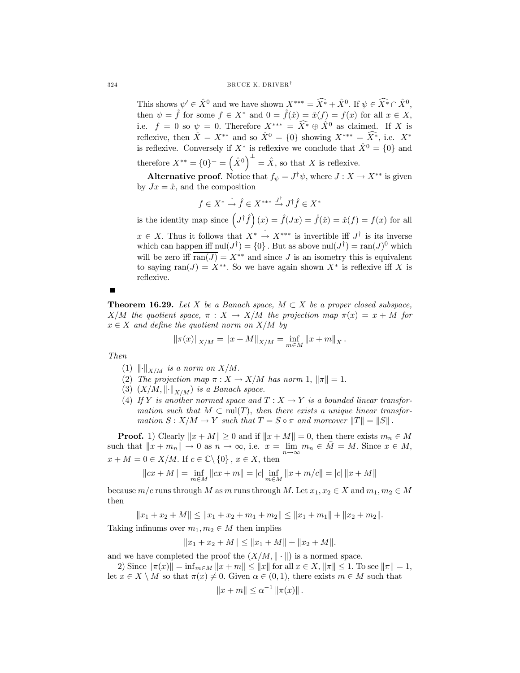This shows  $\psi' \in \hat{X}^0$  and we have shown  $X^{***} = \widehat{X^*} + \hat{X}^0$ . If  $\psi \in \widehat{X^*} \cap \hat{X}^0$ , then  $\psi = \hat{f}$  for some  $f \in X^*$  and  $0 = \hat{f}(\hat{x}) = \hat{x}(f) = f(x)$  for all  $x \in X$ , i.e.  $f = 0$  so  $\psi = 0$ . Therefore  $X^{***} = \widehat{X}^* \oplus \widehat{X}^0$  as claimed. If X is reflexive, then  $\hat{X} = X^{**}$  and so  $\hat{X}^0 = \{0\}$  showing  $X^{***} = \hat{X}^*$ , i.e.  $X^*$ is reflexive. Conversely if  $X^*$  is reflexive we conclude that  $\hat{X}^0 = \{0\}$  and therefore  $X^{**} = \{0\}^{\perp} = \left(\hat{X}^0\right)^{\perp} = \hat{X}$ , so that X is reflexive.

**Alternative proof.** Notice that  $f_{\psi} = J^{\dagger} \psi$ , where  $J : X \to X^{**}$  is given by  $Jx = \hat{x}$ , and the composition

$$
f \in X^* \xrightarrow{\hat{f}} \hat{f} \in X^{***} \xrightarrow{J^{\dagger}} J^{\dagger} \hat{f} \in X^*
$$

is the identity map since  $(J^{\dagger}\hat{f})(x) = \hat{f}(Jx) = \hat{f}(\hat{x}) = \hat{x}(f) = f(x)$  for all

 $x \in X$ . Thus it follows that  $X^* \nightharpoonup X^{***}$  is invertible iff  $J^{\dagger}$  is its inverse which can happen iff  $\text{null}(J^{\dagger}) = \{0\}$ . But as above  $\text{null}(J^{\dagger}) = \text{ran}(J)^0$  which will be zero iff  $\overline{\text{ran}(J)} = X^{**}$  and since J is an isometry this is equivalent to saying ran $(J) = X^{**}$ . So we have again shown  $X^*$  is reflexive iff X is reflexive.

**Theorem 16.29.** Let X be a Banach space,  $M \subset X$  be a proper closed subspace,  $X/M$  the quotient space,  $\pi : X \to X/M$  the projection map  $\pi(x) = x + M$  for  $x \in X$  and define the quotient norm on  $X/M$  by

$$
\|\pi(x)\|_{X/M} = \|x + M\|_{X/M} = \inf_{m \in M} \|x + m\|_X.
$$

Then

- (1)  $\left\| \cdot \right\|_{X/M}$  is a norm on  $X/M$ .
- (2) The projection map  $\pi: X \to X/M$  has norm 1,  $\|\pi\| = 1$ .
- (3)  $(X/M, \left\| \cdot \right\|_{X/M})$  is a Banach space.
- (4) If Y is another normed space and  $T : X \to Y$  is a bounded linear transformation such that  $M \subset \text{null}(T)$ , then there exists a unique linear transformation  $S: X/M \to Y$  such that  $T = S \circ \pi$  and moreover  $||T|| = ||S||$ .

**Proof.** 1) Clearly  $||x + M|| \ge 0$  and if  $||x + M|| = 0$ , then there exists  $m_n \in M$ such that  $||x + m_n|| \to 0$  as  $n \to \infty$ , i.e.  $x = \lim_{n \to \infty} m_n \in \overline{M} = M$ . Since  $x \in M$ ,  $x + M = 0 \in X/M$ . If  $c \in \mathbb{C} \backslash \{0\}$ ,  $x \in X$ , then

 $||cx + M|| = \inf_{m \in M} ||cx + m|| = |c| \inf_{m \in M} ||x + m/c|| = |c| ||x + M||$ 

because  $m/c$  runs through M as m runs through M. Let  $x_1, x_2 \in X$  and  $m_1, m_2 \in M$ then

 $||x_1 + x_2 + M|| \le ||x_1 + x_2 + m_1 + m_2|| \le ||x_1 + m_1|| + ||x_2 + m_2||.$ 

Taking infinums over  $m_1, m_2 \in M$  then implies

$$
||x_1 + x_2 + M|| \le ||x_1 + M|| + ||x_2 + M||.
$$

and we have completed the proof the  $(X/M, \|\cdot\|)$  is a normed space.

2) Since  $\|\pi(x)\| = \inf_{m \in M} \|x + m\| \leq \|x\|$  for all  $x \in X$ ,  $\|\pi\| \leq 1$ . To see  $\|\pi\| = 1$ , let  $x \in X \setminus M$  so that  $\pi(x) \neq 0$ . Given  $\alpha \in (0,1)$ , there exists  $m \in M$  such that

$$
||x + m|| \le \alpha^{-1} ||\pi(x)||
$$
.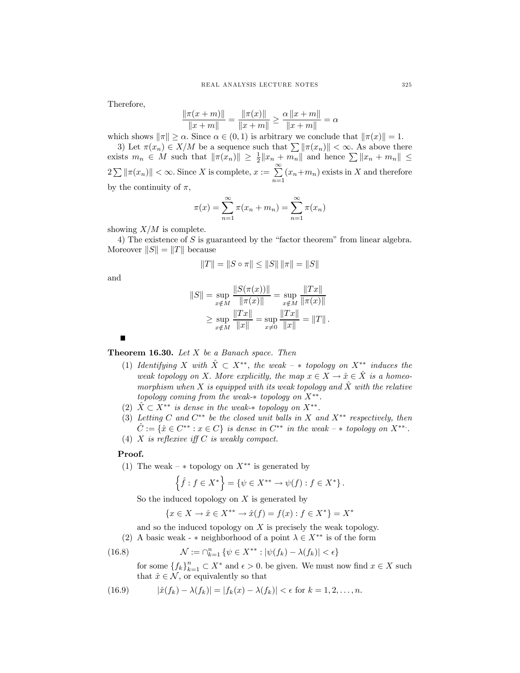Therefore,

$$
\frac{\|\pi(x+m)\|}{\|x+m\|} = \frac{\|\pi(x)\|}{\|x+m\|} \ge \frac{\alpha\|x+m\|}{\|x+m\|} = \alpha
$$

which shows  $\|\pi\| \ge \alpha$ . Since  $\alpha \in (0,1)$  is arbitrary we conclude that  $\|\pi(x)\| = 1$ .

3) Let  $\pi(x_n) \in X/M$  be a sequence such that  $\sum ||\pi(x_n)|| < \infty$ . As above there exists  $m_n \in M$  such that  $\|\pi(x_n)\| \geq \frac{1}{2} \|x_n + m_n\|$  and hence  $\sum \|x_n + m_n\| \leq$  $2 \sum ||\pi(x_n)|| < \infty$ . Since X is complete,  $x := \sum_{n=1}^{\infty}$  $\sum_{n=1}$   $(x_n+m_n)$  exists in X and therefore by the continuity of  $\pi$ ,

$$
\pi(x) = \sum_{n=1}^{\infty} \pi(x_n + m_n) = \sum_{n=1}^{\infty} \pi(x_n)
$$

showing  $X/M$  is complete.

4) The existence of S is guaranteed by the "factor theorem" from linear algebra. Moreover  $||S|| = ||T||$  because

$$
||T|| = ||S \circ \pi|| \le ||S|| \, ||\pi|| = ||S||
$$

and

$$
||S|| = \sup_{x \notin M} \frac{||S(\pi(x))||}{||\pi(x)||} = \sup_{x \notin M} \frac{||Tx||}{||\pi(x)||}
$$
  
\n
$$
\geq \sup_{x \notin M} \frac{||Tx||}{||x||} = \sup_{x \neq 0} \frac{||Tx||}{||x||} = ||T||.
$$

п

**Theorem 16.30.** Let  $X$  be a Banach space. Then

- (1) Identifying X with  $\hat{X} \subset X^{**}$ , the weak  $*$  topology on  $X^{**}$  induces the weak topology on X. More explicitly, the map  $x \in X \to \hat{x} \in \hat{X}$  is a homeomorphism when X is equipped with its weak topology and  $\hat{X}$  with the relative topology coming from the weak- $*$  topology on  $X^{**}$ .
- (2)  $\hat{X} \subset X^{**}$  is dense in the weak- $*$  topology on  $X^{**}$ .
- (3) Letting C and  $C^{**}$  be the closed unit balls in X and  $X^{**}$  respectively, then  $\hat{C} := \{\hat{x} \in C^{**} : x \in C\}$  is dense in  $C^{**}$  in the weak –  $*$  topology on  $X^{**}$ .
- (4)  $X$  is reflexive iff  $C$  is weakly compact.

## Proof.

(1) The weak –  $*$  topology on  $X^{**}$  is generated by

$$
\left\{\hat{f} : f \in X^*\right\} = \left\{\psi \in X^{**} \to \psi(f) : f \in X^*\right\}.
$$

So the induced topology on  $X$  is generated by

$$
\{x \in X \to \hat{x} \in X^{**} \to \hat{x}(f) = f(x) : f \in X^*\} = X^*
$$

and so the induced topology on  $X$  is precisely the weak topology.

(2) A basic weak - \* neighborhood of a point  $\lambda \in X^{**}$  is of the form

(16.8) 
$$
\mathcal{N} := \bigcap_{k=1}^n \left\{ \psi \in X^{**} : |\psi(f_k) - \lambda(f_k)| < \epsilon \right\}
$$

for some  $\{f_k\}_{k=1}^n \subset X^*$  and  $\epsilon > 0$ . be given. We must now find  $x \in X$  such that  $\hat{x} \in \mathcal{N}$ , or equivalently so that

(16.9) 
$$
|\hat{x}(f_k) - \lambda(f_k)| = |f_k(x) - \lambda(f_k)| < \epsilon \text{ for } k = 1, 2, ..., n.
$$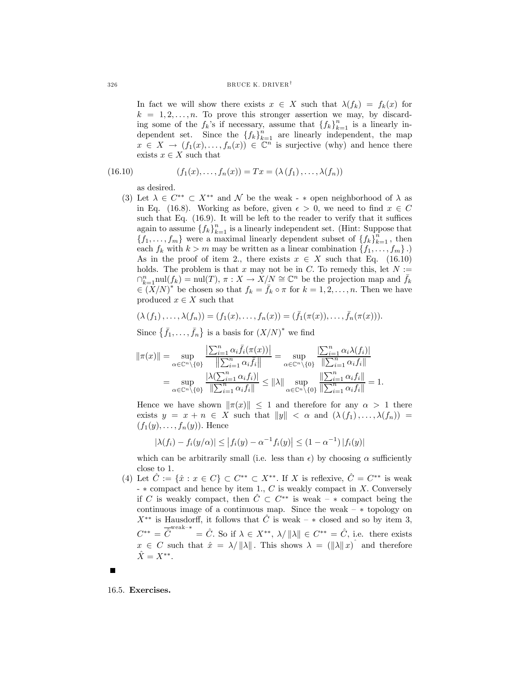In fact we will show there exists  $x \in X$  such that  $\lambda(f_k) = f_k(x)$  for  $k = 1, 2, \ldots, n$ . To prove this stronger assertion we may, by discarding some of the  $f_k$ 's if necessary, assume that  ${f_k}_{k=1}^n$  is a linearly independent set. Since the  ${f_k}_{k=1}^n$  are linearly independent, the map  $x \in X \to (f_1(x), \ldots, f_n(x)) \in \mathbb{C}^n$  is surjective (why) and hence there exists  $x \in X$  such that

(16.10) 
$$
(f_1(x),...,f_n(x)) = Tx = (\lambda (f_1),..., \lambda (f_n))
$$

as desired.

(3) Let  $\lambda \in C^{**} \subset X^{**}$  and  $\mathcal N$  be the weak - \* open neighborhood of  $\lambda$  as in Eq. (16.8). Working as before, given  $\epsilon > 0$ , we need to find  $x \in C$ such that Eq. (16.9). It will be left to the reader to verify that it suffices again to assume  $\{f_k\}_{k=1}^n$  is a linearly independent set. (Hint: Suppose that  ${f_1, \ldots, f_m}$  were a maximal linearly dependent subset of  ${f_k}_{k=1}^n$ , then each  $f_k$  with  $k>m$  may be written as a linear combination  $\{f_1,\ldots,f_m\}$ .) As in the proof of item 2., there exists  $x \in X$  such that Eq. (16.10) holds. The problem is that x may not be in C. To remedy this, let  $N :=$  $\bigcap_{k=1}^n \text{null}(f_k) = \text{null}(T), \pi : X \to X/N \cong \mathbb{C}^n$  be the projection map and  $\bar{f}_k$  $\in (X/N)^*$  be chosen so that  $f_k = \bar{f}_k \circ \pi$  for  $k = 1, 2, ..., n$ . Then we have produced  $x \in X$  such that

$$
(\lambda (f_1), \ldots, \lambda (f_n)) = (f_1(x), \ldots, f_n(x)) = (\bar{f}_1(\pi(x)), \ldots, \bar{f}_n(\pi(x))).
$$

Since  $\{\bar{f}_1,\ldots,\bar{f}_n\}$  is a basis for  $(X/N)^*$  we find

$$
\|\pi(x)\| = \sup_{\alpha \in \mathbb{C}^n \setminus \{0\}} \frac{\left| \sum_{i=1}^n \alpha_i \bar{f}_i(\pi(x)) \right|}{\left\| \sum_{i=1}^n \alpha_i \bar{f}_i \right\|} = \sup_{\alpha \in \mathbb{C}^n \setminus \{0\}} \frac{\left| \sum_{i=1}^n \alpha_i \lambda(f_i) \right|}{\left\| \sum_{i=1}^n \alpha_i f_i \right\|} = \sup_{\alpha \in \mathbb{C}^n \setminus \{0\}} \frac{\left| \lambda \left( \sum_{i=1}^n \alpha_i f_i \right) \right|}{\left\| \sum_{i=1}^n \alpha_i f_i \right\|} \le \|\lambda\| \sup_{\alpha \in \mathbb{C}^n \setminus \{0\}} \frac{\left\| \sum_{i=1}^n \alpha_i f_i \right\|}{\left\| \sum_{i=1}^n \alpha_i f_i \right\|} = 1.
$$

Hence we have shown  $\|\pi(x)\| \leq 1$  and therefore for any  $\alpha > 1$  there exists  $y = x + n \in X$  such that  $||y|| < \alpha$  and  $(\lambda(f_1),...,\lambda(f_n)) =$  $(f_1(y),\ldots,f_n(y))$ . Hence

$$
|\lambda(f_i) - f_i(y/\alpha)| \le |f_i(y) - \alpha^{-1} f_i(y)| \le (1 - \alpha^{-1}) |f_i(y)|
$$

which can be arbitrarily small (i.e. less than  $\epsilon$ ) by choosing  $\alpha$  sufficiently close to 1.

(4) Let  $\hat{C} := \{\hat{x} : x \in C\} \subset C^{**} \subset X^{**}$ . If X is reflexive,  $\hat{C} = C^{**}$  is weak  $- *$  compact and hence by item 1.,  $C$  is weakly compact in  $X$ . Conversely if C is weakly compact, then  $\hat{C} \subset C^{**}$  is weak –  $*$  compact being the continuous image of a continuous map. Since the weak  $- *$  topology on  $X^{**}$  is Hausdorff, it follows that  $\hat{C}$  is weak –  $*$  closed and so by item 3,  $C^{**} = \overline{\hat{C}}^{\text{weak-*}} = \hat{C}$ . So if  $\lambda \in X^{**}$ ,  $\lambda / \|\lambda\| \in C^{**} = \hat{C}$ , i.e. there exists  $x \in C$  such that  $\hat{x} = \lambda / ||\lambda||$ . This shows  $\lambda = (||\lambda||x)^T$  and therefore  $\hat{X}=X^{**}.$ 

16.5. Exercises.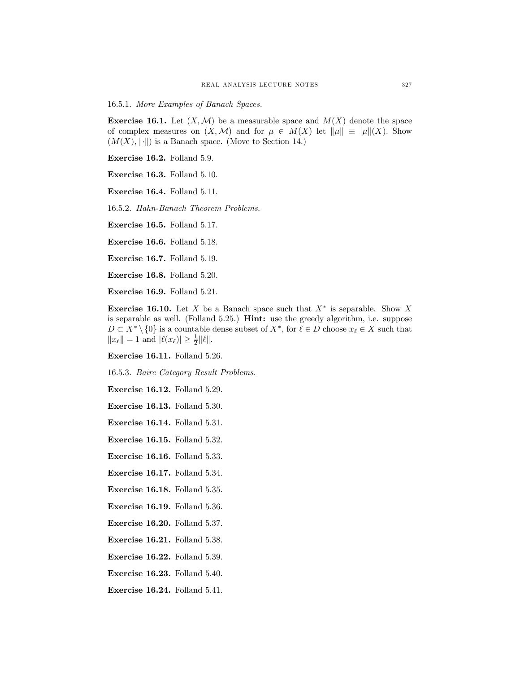16.5.1. More Examples of Banach Spaces.

**Exercise 16.1.** Let  $(X, \mathcal{M})$  be a measurable space and  $M(X)$  denote the space of complex measures on  $(X, \mathcal{M})$  and for  $\mu \in M(X)$  let  $\|\mu\| \equiv |\mu\|(X)$ . Show  $(M(X), \|\cdot\|)$  is a Banach space. (Move to Section 14.)

Exercise 16.2. Folland 5.9.

Exercise 16.3. Folland 5.10.

Exercise 16.4. Folland 5.11.

16.5.2. Hahn-Banach Theorem Problems.

Exercise 16.5. Folland 5.17.

Exercise 16.6. Folland 5.18.

Exercise 16.7. Folland 5.19.

Exercise 16.8. Folland 5.20.

Exercise 16.9. Folland 5.21.

Exercise 16.10. Let X be a Banach space such that  $X^*$  is separable. Show X is separable as well. (Folland 5.25.) Hint: use the greedy algorithm, i.e. suppose  $D \subset X^* \setminus \{0\}$  is a countable dense subset of  $X^*$ , for  $\ell \in D$  choose  $x_{\ell} \in X$  such that  $||x_{\ell}|| = 1$  and  $|\ell(x_{\ell})| \geq \frac{1}{2} ||\ell||$ .

Exercise 16.11. Folland 5.26.

16.5.3. Baire Category Result Problems.

Exercise 16.12. Folland 5.29.

Exercise 16.13. Folland 5.30.

Exercise 16.14. Folland 5.31.

Exercise 16.15. Folland 5.32.

Exercise 16.16. Folland 5.33.

Exercise 16.17. Folland 5.34.

Exercise 16.18. Folland 5.35.

- Exercise 16.19. Folland 5.36.
- Exercise 16.20. Folland 5.37.
- Exercise 16.21. Folland 5.38.
- Exercise 16.22. Folland 5.39.
- Exercise 16.23. Folland 5.40.

Exercise 16.24. Folland 5.41.